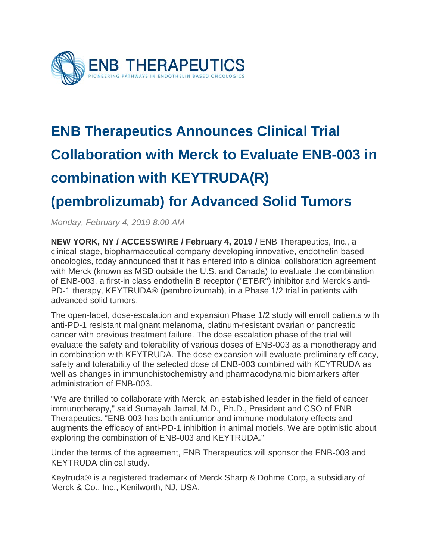

## **ENB Therapeutics Announces Clinical Trial Collaboration with Merck to Evaluate ENB-003 in combination with KEYTRUDA(R)**

## **(pembrolizumab) for Advanced Solid Tumors**

*Monday, February 4, 2019 8:00 AM*

**NEW YORK, NY / ACCESSWIRE / February 4, 2019 /** ENB Therapeutics, Inc., a clinical-stage, biopharmaceutical company developing innovative, endothelin-based oncologics, today announced that it has entered into a clinical collaboration agreement with Merck (known as MSD outside the U.S. and Canada) to evaluate the combination of ENB-003, a first-in class endothelin B receptor ("ETBR") inhibitor and Merck's anti-PD-1 therapy, KEYTRUDA® (pembrolizumab), in a Phase 1/2 trial in patients with advanced solid tumors.

The open-label, dose-escalation and expansion Phase 1/2 study will enroll patients with anti-PD-1 resistant malignant melanoma, platinum-resistant ovarian or pancreatic cancer with previous treatment failure. The dose escalation phase of the trial will evaluate the safety and tolerability of various doses of ENB-003 as a monotherapy and in combination with KEYTRUDA. The dose expansion will evaluate preliminary efficacy, safety and tolerability of the selected dose of ENB-003 combined with KEYTRUDA as well as changes in immunohistochemistry and pharmacodynamic biomarkers after administration of ENB-003.

"We are thrilled to collaborate with Merck, an established leader in the field of cancer immunotherapy," said Sumayah Jamal, M.D., Ph.D., President and CSO of ENB Therapeutics. "ENB-003 has both antitumor and immune-modulatory effects and augments the efficacy of anti-PD-1 inhibition in animal models. We are optimistic about exploring the combination of ENB-003 and KEYTRUDA."

Under the terms of the agreement, ENB Therapeutics will sponsor the ENB-003 and KEYTRUDA clinical study.

Keytruda® is a registered trademark of Merck Sharp & Dohme Corp, a subsidiary of Merck & Co., Inc., Kenilworth, NJ, USA.